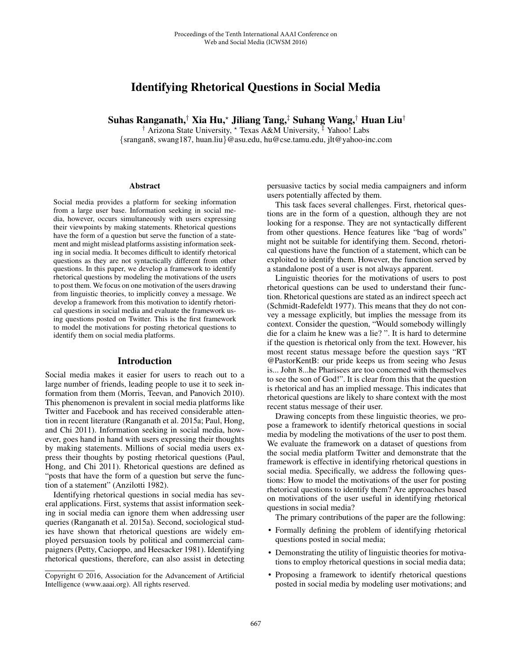# Identifying Rhetorical Questions in Social Media

Suhas Ranganath,† Xia Hu,\* Jiliang Tang,‡ Suhang Wang,† Huan Liu†

<sup>†</sup> Arizona State University, \* Texas A&M University, <sup>‡</sup> Yahoo! Labs {srangan8, swang187, huan.liu}@asu.edu, hu@cse.tamu.edu, jlt@yahoo-inc.com

#### **Abstract**

Social media provides a platform for seeking information from a large user base. Information seeking in social media, however, occurs simultaneously with users expressing their viewpoints by making statements. Rhetorical questions have the form of a question but serve the function of a statement and might mislead platforms assisting information seeking in social media. It becomes difficult to identify rhetorical questions as they are not syntactically different from other questions. In this paper, we develop a framework to identify rhetorical questions by modeling the motivations of the users to post them. We focus on one motivation of the users drawing from linguistic theories, to implicitly convey a message. We develop a framework from this motivation to identify rhetorical questions in social media and evaluate the framework using questions posted on Twitter. This is the first framework to model the motivations for posting rhetorical questions to identify them on social media platforms.

## Introduction

Social media makes it easier for users to reach out to a large number of friends, leading people to use it to seek information from them (Morris, Teevan, and Panovich 2010). This phenomenon is prevalent in social media platforms like Twitter and Facebook and has received considerable attention in recent literature (Ranganath et al. 2015a; Paul, Hong, and Chi 2011). Information seeking in social media, however, goes hand in hand with users expressing their thoughts by making statements. Millions of social media users express their thoughts by posting rhetorical questions (Paul, Hong, and Chi 2011). Rhetorical questions are defined as "posts that have the form of a question but serve the function of a statement" (Anzilotti 1982).

Identifying rhetorical questions in social media has several applications. First, systems that assist information seeking in social media can ignore them when addressing user queries (Ranganath et al. 2015a). Second, sociological studies have shown that rhetorical questions are widely employed persuasion tools by political and commercial campaigners (Petty, Cacioppo, and Heesacker 1981). Identifying rhetorical questions, therefore, can also assist in detecting persuasive tactics by social media campaigners and inform users potentially affected by them.

This task faces several challenges. First, rhetorical questions are in the form of a question, although they are not looking for a response. They are not syntactically different from other questions. Hence features like "bag of words" might not be suitable for identifying them. Second, rhetorical questions have the function of a statement, which can be exploited to identify them. However, the function served by a standalone post of a user is not always apparent.

Linguistic theories for the motivations of users to post rhetorical questions can be used to understand their function. Rhetorical questions are stated as an indirect speech act (Schmidt-Radefeldt 1977). This means that they do not convey a message explicitly, but implies the message from its context. Consider the question, "Would somebody willingly die for a claim he knew was a lie? ". It is hard to determine if the question is rhetorical only from the text. However, his most recent status message before the question says "RT @PastorKentB: our pride keeps us from seeing who Jesus is... John 8...he Pharisees are too concerned with themselves to see the son of God!". It is clear from this that the question is rhetorical and has an implied message. This indicates that rhetorical questions are likely to share context with the most recent status message of their user.

Drawing concepts from these linguistic theories, we propose a framework to identify rhetorical questions in social media by modeling the motivations of the user to post them. We evaluate the framework on a dataset of questions from the social media platform Twitter and demonstrate that the framework is effective in identifying rhetorical questions in social media. Specifically, we address the following questions: How to model the motivations of the user for posting rhetorical questions to identify them? Are approaches based on motivations of the user useful in identifying rhetorical questions in social media?

The primary contributions of the paper are the following:

- Formally defining the problem of identifying rhetorical questions posted in social media;
- Demonstrating the utility of linguistic theories for motivations to employ rhetorical questions in social media data;
- Proposing a framework to identify rhetorical questions posted in social media by modeling user motivations; and

Copyright © 2016, Association for the Advancement of Artificial Intelligence (www.aaai.org). All rights reserved.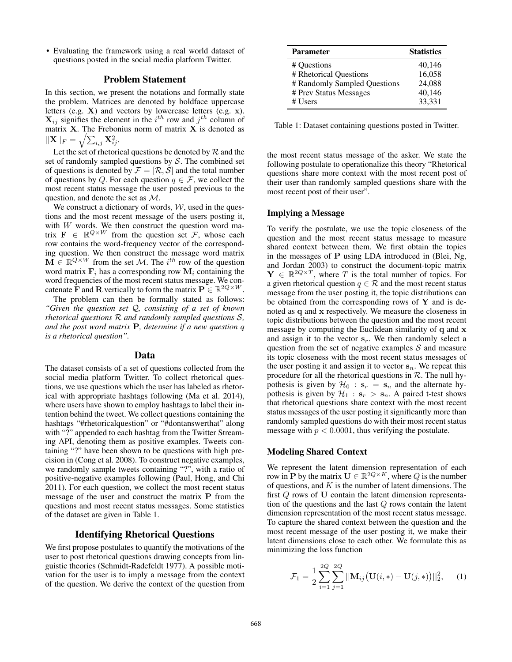• Evaluating the framework using a real world dataset of questions posted in the social media platform Twitter.

## Problem Statement

In this section, we present the notations and formally state the problem. Matrices are denoted by boldface uppercase letters (e.g. **X**) and vectors by lowercase letters (e.g. **x**).  $\mathbf{X}_{ij}$  signifies the element in the  $i^{th}$  row and  $j^{th}$  column of matrix **X**. The Frebonius norm of matrix **X** is denoted as  $||\mathbf{X}||_F = \sqrt{\sum_{i,j} \mathbf{X}_{ij}^2}.$ 

Let the set of rhetorical questions be denoted by  $R$  and the set of randomly sampled questions by  $S$ . The combined set of questions is denoted by  $\mathcal{F} = [\mathcal{R}, \mathcal{S}]$  and the total number of questions by Q. For each question  $q \in \mathcal{F}$ , we collect the most recent status message the user posted previous to the question, and denote the set as M.

We construct a dictionary of words,  $W$ , used in the questions and the most recent message of the users posting it, with  $W$  words. We then construct the question word matrix  $\mathbf{F} \in \mathbb{R}^{Q \times W}$  from the question set  $\mathcal{F}$ , whose each row contains the word-frequency vector of the corresponding question. We then construct the message word matrix  $\widetilde{\mathbf{M}} \in \mathbb{R}^{Q \times W}$  from the set *M*. The *i*<sup>th</sup> row of the question word matrix  $\mathbf{F}_i$  has a corresponding row  $\mathbf{M}_i$  containing the word frequencies of the most recent status message. We concatenate **F** and **R** vertically to form the matrix  $\mathbf{P} \in \mathbb{R}^{2Q \times W}$ .

The problem can then be formally stated as follows: *"Given the question set* Q*, consisting of a set of known rhetorical questions* R *and randomly sampled questions* S*, and the post word matrix* **P***, determine if a new question q is a rhetorical question".*

#### Data

The dataset consists of a set of questions collected from the social media platform Twitter. To collect rhetorical questions, we use questions which the user has labeled as rhetorical with appropriate hashtags following (Ma et al. 2014), where users have shown to employ hashtags to label their intention behind the tweet. We collect questions containing the hashtags "#rhetoricalquestion" or "#dontanswerthat" along with "?" appended to each hashtag from the Twitter Streaming API, denoting them as positive examples. Tweets containing "?" have been shown to be questions with high precision in (Cong et al. 2008). To construct negative examples, we randomly sample tweets containing "?", with a ratio of positive-negative examples following (Paul, Hong, and Chi 2011). For each question, we collect the most recent status message of the user and construct the matrix **P** from the questions and most recent status messages. Some statistics of the dataset are given in Table 1.

## Identifying Rhetorical Questions

We first propose postulates to quantify the motivations of the user to post rhetorical questions drawing concepts from linguistic theories (Schmidt-Radefeldt 1977). A possible motivation for the user is to imply a message from the context of the question. We derive the context of the question from

| <b>Parameter</b>             | <b>Statistics</b> |
|------------------------------|-------------------|
| # Ouestions                  | 40,146            |
| # Rhetorical Questions       | 16,058            |
| # Randomly Sampled Questions | 24,088            |
| # Prev Status Messages       | 40,146            |
| # Users                      | 33,331            |

Table 1: Dataset containing questions posted in Twitter.

the most recent status message of the asker. We state the following postulate to operationalize this theory "Rhetorical questions share more context with the most recent post of their user than randomly sampled questions share with the most recent post of their user".

#### Implying a Message

To verify the postulate, we use the topic closeness of the question and the most recent status message to measure shared context between them. We first obtain the topics in the messages of **P** using LDA introduced in (Blei, Ng, and Jordan 2003) to construct the document-topic matrix  $\mathbf{Y} \in \mathbb{R}^{2Q \times T}$ , where T is the total number of topics. For a given rhetorical question  $q \in \mathcal{R}$  and the most recent status message from the user posting it, the topic distributions can be obtained from the corresponding rows of **Y** and is denoted as **q** and **x** respectively. We measure the closeness in topic distributions between the question and the most recent message by computing the Euclidean similarity of **q** and **x** and assign it to the vector  $s_r$ . We then randomly select a question from the set of negative examples  $S$  and measure its topic closeness with the most recent status messages of the user posting it and assign it to vector  $s_n$ . We repeat this procedure for all the rhetorical questions in  $R$ . The null hypothesis is given by  $\mathcal{H}_0$  :  $\mathbf{s}_r = \mathbf{s}_n$  and the alternate hypothesis is given by  $\mathcal{H}_1$  :  $\mathbf{s}_r > \mathbf{s}_n$ . A paired t-test shows that rhetorical questions share context with the most recent status messages of the user posting it significantly more than randomly sampled questions do with their most recent status message with  $p < 0.0001$ , thus verifying the postulate.

#### Modeling Shared Context

We represent the latent dimension representation of each row in **P** by the matrix  $\mathbf{U} \in \mathbb{R}^{2Q \times K}$ , where Q is the number of questions, and  $K$  is the number of latent dimensions. The first Q rows of **U** contain the latent dimension representation of the questions and the last Q rows contain the latent dimension representation of the most recent status message. To capture the shared context between the question and the most recent message of the user posting it, we make their latent dimensions close to each other. We formulate this as minimizing the loss function

$$
\mathcal{F}_1 = \frac{1}{2} \sum_{i=1}^{2Q} \sum_{j=1}^{2Q} ||\mathbf{M}_{ij}(\mathbf{U}(i,*) - \mathbf{U}(j,*))||_2^2, \quad (1)
$$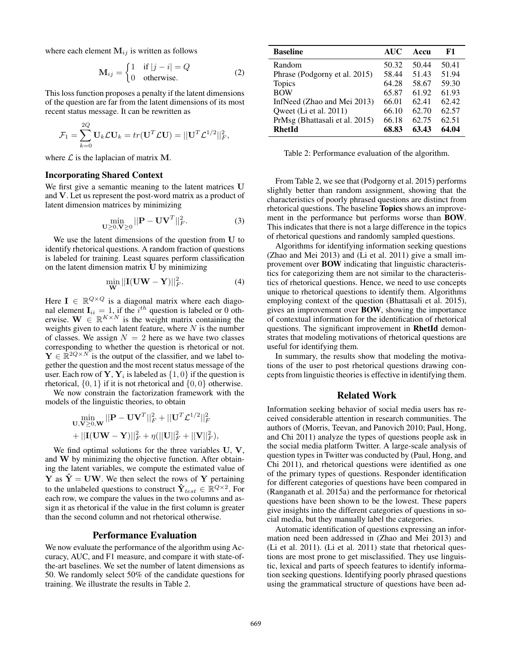where each element  $M_{ij}$  is written as follows

$$
\mathbf{M}_{ij} = \begin{cases} 1 & \text{if } |j - i| = Q \\ 0 & \text{otherwise.} \end{cases}
$$
 (2)

This loss function proposes a penalty if the latent dimensions of the question are far from the latent dimensions of its most recent status message. It can be rewritten as

$$
\mathcal{F}_1 = \sum_{k=0}^{2Q} \mathbf{U}_k \mathcal{L} \mathbf{U}_k = tr(\mathbf{U}^T \mathcal{L} \mathbf{U}) = ||\mathbf{U}^T \mathcal{L}^{1/2}||_F^2,
$$

where  $\mathcal{L}$  is the laplacian of matrix **M**.

## Incorporating Shared Context

We first give a semantic meaning to the latent matrices **U** and **V**. Let us represent the post-word matrix as a product of latent dimension matrices by minimizing

$$
\min_{\mathbf{U} \ge 0, \mathbf{V} \ge 0} ||\mathbf{P} - \mathbf{U}\mathbf{V}^T||_F^2.
$$
 (3)

We use the latent dimensions of the question from **U** to identify rhetorical questions. A random fraction of questions is labeled for training. Least squares perform classification on the latent dimension matrix **U** by minimizing

$$
\min_{\mathbf{W}} ||\mathbf{I}(\mathbf{U}\mathbf{W} - \mathbf{Y})||_F^2.
$$
 (4)

Here  $I \in \mathbb{R}^{Q \times Q}$  is a diagonal matrix where each diagonal element  $I_{ii} = 1$ , if the  $i^{th}$  question is labeled or 0 otherwise.  $\mathbf{W} \in \mathbb{R}^{K \times N}$  is the weight matrix containing the weights given to each latent feature, where  $N$  is the number of classes. We assign  $N = 2$  here as we have two classes corresponding to whether the question is rhetorical or not.  $\mathbf{Y} \in \mathbb{R}^{2Q \times N}$  is the output of the classifier, and we label together the question and the most recent status message of the user. Each row of **Y**,  $Y_i$  is labeled as  $\{1, 0\}$  if the question is rhetorical,  $\{0, 1\}$  if it is not rhetorical and  $\{0, 0\}$  otherwise.

We now constrain the factorization framework with the models of the linguistic theories, to obtain

$$
\begin{aligned} & \min_{\mathbf{U}, \mathbf{V} \geq 0, \mathbf{W}} ||\mathbf{P} - \mathbf{U}\mathbf{V}^T||_F^2 + ||\mathbf{U}^T \mathcal{L}^{1/2}||_F^2 \\ & + ||\mathbf{I}(\mathbf{U}\mathbf{W} - \mathbf{Y})||_F^2 + \eta (||\mathbf{U}||_F^2 + ||\mathbf{V}||_F^2), \end{aligned}
$$

We find optimal solutions for the three variables **U**, **V**, and **W** by minimizing the objective function. After obtaining the latent variables, we compute the estimated value of **Y** as  $\hat{Y} = UW$ . We then select the rows of **Y** pertaining to the unlabeled questions to construct  $\hat{\mathbf{Y}}_{test} \in \mathbb{R}^{Q \times 2}$ . For each row, we compare the values in the two columns and assign it as rhetorical if the value in the first column is greater than the second column and not rhetorical otherwise.

## Performance Evaluation

We now evaluate the performance of the algorithm using Accuracy, AUC, and F1 measure, and compare it with state-ofthe-art baselines. We set the number of latent dimensions as 50. We randomly select 50% of the candidate questions for training. We illustrate the results in Table 2.

| <b>Baseline</b>                | <b>AUC</b> | Accu  | F1    |
|--------------------------------|------------|-------|-------|
| Random                         | 50.32      | 50.44 | 50.41 |
| Phrase (Podgorny et al. 2015)  | 58.44      | 51.43 | 51.94 |
| <b>Topics</b>                  | 64.28      | 58.67 | 59.30 |
| <b>BOW</b>                     | 65.87      | 61.92 | 61.93 |
| InfNeed (Zhao and Mei 2013)    | 66.01      | 62.41 | 62.42 |
| Qweet (Li et al. 2011)         | 66.10      | 62.70 | 62.57 |
| PrMsg (Bhattasali et al. 2015) | 66.18      | 62.75 | 62.51 |
| <b>RhetId</b>                  | 68.83      | 63.43 | 64.04 |

Table 2: Performance evaluation of the algorithm.

From Table 2, we see that (Podgorny et al. 2015) performs slightly better than random assignment, showing that the characteristics of poorly phrased questions are distinct from rhetorical questions. The baseline Topics shows an improvement in the performance but performs worse than BOW. This indicates that there is not a large difference in the topics of rhetorical questions and randomly sampled questions.

Algorithms for identifying information seeking questions (Zhao and Mei 2013) and (Li et al. 2011) give a small improvement over BOW indicating that linguistic characteristics for categorizing them are not similar to the characteristics of rhetorical questions. Hence, we need to use concepts unique to rhetorical questions to identify them. Algorithms employing context of the question (Bhattasali et al. 2015), gives an improvement over BOW, showing the importance of contextual information for the identification of rhetorical questions. The significant improvement in RhetId demonstrates that modeling motivations of rhetorical questions are useful for identifying them.

In summary, the results show that modeling the motivations of the user to post rhetorical questions drawing concepts from linguistic theories is effective in identifying them.

# Related Work

Information seeking behavior of social media users has received considerable attention in research communities. The authors of (Morris, Teevan, and Panovich 2010; Paul, Hong, and Chi 2011) analyze the types of questions people ask in the social media platform Twitter. A large-scale analysis of question types in Twitter was conducted by (Paul, Hong, and Chi 2011), and rhetorical questions were identified as one of the primary types of questions. Responder identification for different categories of questions have been compared in (Ranganath et al. 2015a) and the performance for rhetorical questions have been shown to be the lowest. These papers give insights into the different categories of questions in social media, but they manually label the categories.

Automatic identification of questions expressing an information need been addressed in (Zhao and Mei 2013) and (Li et al. 2011). (Li et al. 2011) state that rhetorical questions are most prone to get misclassified. They use linguistic, lexical and parts of speech features to identify information seeking questions. Identifying poorly phrased questions using the grammatical structure of questions have been ad